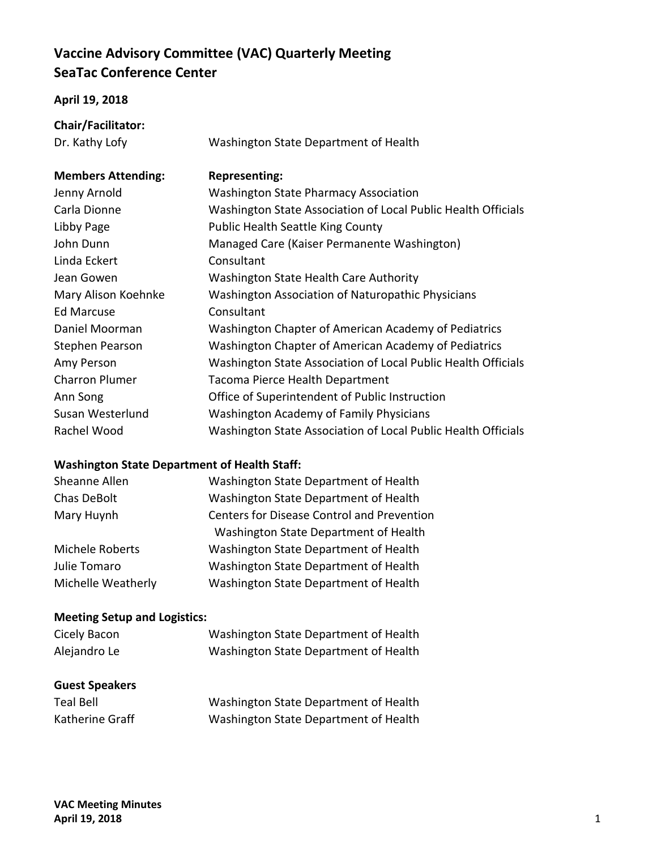## **Vaccine Advisory Committee (VAC) Quarterly Meeting SeaTac Conference Center**

## **April 19, 2018**

| Chair/Facilitator: |  |
|--------------------|--|
|--------------------|--|

Dr. Kathy Lofy Washington State Department of Health **Members Attending: Representing:**  Jenny Arnold Washington State Pharmacy Association Carla Dionne Washington State Association of Local Public Health Officials Libby Page **Public Health Seattle King County** John Dunn Managed Care (Kaiser Permanente Washington) Linda Eckert Consultant Jean Gowen Washington State Health Care Authority Mary Alison Koehnke Washington Association of Naturopathic Physicians Ed Marcuse Consultant Daniel Moorman Washington Chapter of American Academy of Pediatrics

Stephen Pearson Washington Chapter of American Academy of Pediatrics Amy Person Washington State Association of Local Public Health Officials Charron Plumer Tacoma Pierce Health Department Ann Song Office of Superintendent of Public Instruction Susan Westerlund Washington Academy of Family Physicians Rachel Wood Washington State Association of Local Public Health Officials

## **Washington State Department of Health Staff:**

| Washington State Department of Health             |  |
|---------------------------------------------------|--|
| Washington State Department of Health             |  |
| <b>Centers for Disease Control and Prevention</b> |  |
| Washington State Department of Health             |  |
| Washington State Department of Health             |  |
| Washington State Department of Health             |  |
| Washington State Department of Health             |  |
|                                                   |  |

## **Meeting Setup and Logistics:**

| Cicely Bacon          | Washington State Department of Health |
|-----------------------|---------------------------------------|
| Alejandro Le          | Washington State Department of Health |
| <b>Guest Speakers</b> |                                       |

| <b>Teal Bell</b> | Washington State Department of Health |
|------------------|---------------------------------------|
| Katherine Graff  | Washington State Department of Health |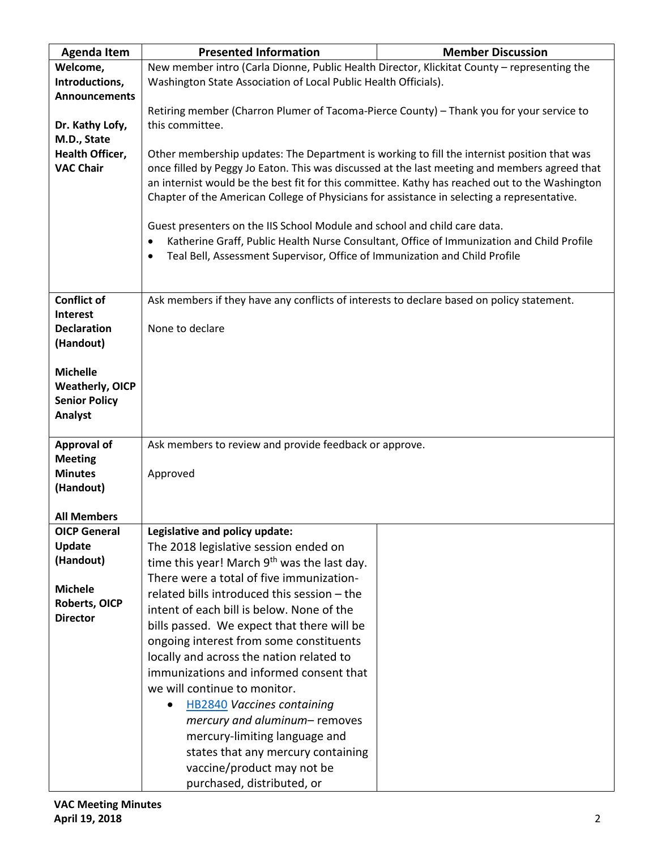| <b>Agenda Item</b>                         | <b>Presented Information</b>                                                                                                                                                                 | <b>Member Discussion</b>                                                                  |  |
|--------------------------------------------|----------------------------------------------------------------------------------------------------------------------------------------------------------------------------------------------|-------------------------------------------------------------------------------------------|--|
| Welcome,                                   | New member intro (Carla Dionne, Public Health Director, Klickitat County - representing the                                                                                                  |                                                                                           |  |
| Introductions,                             | Washington State Association of Local Public Health Officials).                                                                                                                              |                                                                                           |  |
| <b>Announcements</b>                       |                                                                                                                                                                                              |                                                                                           |  |
|                                            | Retiring member (Charron Plumer of Tacoma-Pierce County) - Thank you for your service to                                                                                                     |                                                                                           |  |
| Dr. Kathy Lofy,                            | this committee.                                                                                                                                                                              |                                                                                           |  |
| M.D., State                                |                                                                                                                                                                                              |                                                                                           |  |
| <b>Health Officer,</b><br><b>VAC Chair</b> | Other membership updates: The Department is working to fill the internist position that was<br>once filled by Peggy Jo Eaton. This was discussed at the last meeting and members agreed that |                                                                                           |  |
|                                            | an internist would be the best fit for this committee. Kathy has reached out to the Washington                                                                                               |                                                                                           |  |
|                                            | Chapter of the American College of Physicians for assistance in selecting a representative.                                                                                                  |                                                                                           |  |
|                                            |                                                                                                                                                                                              |                                                                                           |  |
|                                            | Guest presenters on the IIS School Module and school and child care data.                                                                                                                    |                                                                                           |  |
|                                            |                                                                                                                                                                                              | Katherine Graff, Public Health Nurse Consultant, Office of Immunization and Child Profile |  |
|                                            | Teal Bell, Assessment Supervisor, Office of Immunization and Child Profile<br>$\bullet$                                                                                                      |                                                                                           |  |
|                                            |                                                                                                                                                                                              |                                                                                           |  |
|                                            |                                                                                                                                                                                              |                                                                                           |  |
| <b>Conflict of</b>                         | Ask members if they have any conflicts of interests to declare based on policy statement.                                                                                                    |                                                                                           |  |
| Interest                                   |                                                                                                                                                                                              |                                                                                           |  |
| <b>Declaration</b>                         | None to declare                                                                                                                                                                              |                                                                                           |  |
| (Handout)                                  |                                                                                                                                                                                              |                                                                                           |  |
| <b>Michelle</b>                            |                                                                                                                                                                                              |                                                                                           |  |
| <b>Weatherly, OICP</b>                     |                                                                                                                                                                                              |                                                                                           |  |
| <b>Senior Policy</b>                       |                                                                                                                                                                                              |                                                                                           |  |
| Analyst                                    |                                                                                                                                                                                              |                                                                                           |  |
|                                            |                                                                                                                                                                                              |                                                                                           |  |
| <b>Approval of</b>                         | Ask members to review and provide feedback or approve.                                                                                                                                       |                                                                                           |  |
| <b>Meeting</b>                             |                                                                                                                                                                                              |                                                                                           |  |
| <b>Minutes</b>                             | Approved                                                                                                                                                                                     |                                                                                           |  |
| (Handout)                                  |                                                                                                                                                                                              |                                                                                           |  |
| <b>All Members</b>                         |                                                                                                                                                                                              |                                                                                           |  |
| <b>OICP General</b>                        | Legislative and policy update:                                                                                                                                                               |                                                                                           |  |
| Update                                     | The 2018 legislative session ended on                                                                                                                                                        |                                                                                           |  |
| (Handout)                                  | time this year! March 9 <sup>th</sup> was the last day.                                                                                                                                      |                                                                                           |  |
|                                            | There were a total of five immunization-                                                                                                                                                     |                                                                                           |  |
| <b>Michele</b>                             | related bills introduced this session - the                                                                                                                                                  |                                                                                           |  |
| Roberts, OICP                              | intent of each bill is below. None of the                                                                                                                                                    |                                                                                           |  |
| <b>Director</b>                            | bills passed. We expect that there will be                                                                                                                                                   |                                                                                           |  |
|                                            | ongoing interest from some constituents                                                                                                                                                      |                                                                                           |  |
|                                            | locally and across the nation related to                                                                                                                                                     |                                                                                           |  |
|                                            | immunizations and informed consent that                                                                                                                                                      |                                                                                           |  |
|                                            | we will continue to monitor.                                                                                                                                                                 |                                                                                           |  |
|                                            | <b>HB2840 Vaccines containing</b>                                                                                                                                                            |                                                                                           |  |
|                                            | mercury and aluminum- removes                                                                                                                                                                |                                                                                           |  |
|                                            | mercury-limiting language and                                                                                                                                                                |                                                                                           |  |
|                                            | states that any mercury containing                                                                                                                                                           |                                                                                           |  |
|                                            | vaccine/product may not be                                                                                                                                                                   |                                                                                           |  |
|                                            | purchased, distributed, or                                                                                                                                                                   |                                                                                           |  |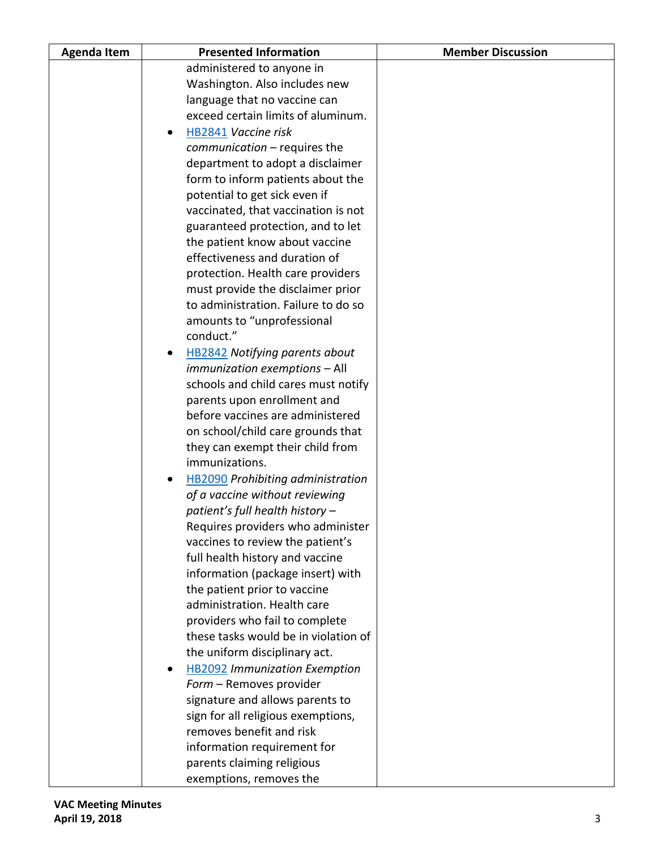| <b>Agenda Item</b> | <b>Presented Information</b>                                          | <b>Member Discussion</b> |
|--------------------|-----------------------------------------------------------------------|--------------------------|
|                    | administered to anyone in                                             |                          |
|                    | Washington. Also includes new                                         |                          |
|                    | language that no vaccine can                                          |                          |
|                    | exceed certain limits of aluminum.                                    |                          |
|                    | <b>HB2841 Vaccine risk</b><br>$\bullet$                               |                          |
|                    | communication - requires the                                          |                          |
|                    | department to adopt a disclaimer                                      |                          |
|                    | form to inform patients about the                                     |                          |
|                    | potential to get sick even if                                         |                          |
|                    | vaccinated, that vaccination is not                                   |                          |
|                    | guaranteed protection, and to let                                     |                          |
|                    | the patient know about vaccine                                        |                          |
|                    | effectiveness and duration of                                         |                          |
|                    | protection. Health care providers                                     |                          |
|                    | must provide the disclaimer prior                                     |                          |
|                    | to administration. Failure to do so                                   |                          |
|                    | amounts to "unprofessional                                            |                          |
|                    | conduct."                                                             |                          |
|                    | <b>HB2842</b> Notifying parents about                                 |                          |
|                    | immunization exemptions - All                                         |                          |
|                    | schools and child cares must notify                                   |                          |
|                    | parents upon enrollment and                                           |                          |
|                    | before vaccines are administered                                      |                          |
|                    | on school/child care grounds that                                     |                          |
|                    | they can exempt their child from                                      |                          |
|                    | immunizations.                                                        |                          |
|                    | <b>HB2090</b> Prohibiting administration                              |                          |
|                    | of a vaccine without reviewing                                        |                          |
|                    | patient's full health history -                                       |                          |
|                    | Requires providers who administer<br>vaccines to review the patient's |                          |
|                    | full health history and vaccine                                       |                          |
|                    | information (package insert) with                                     |                          |
|                    | the patient prior to vaccine                                          |                          |
|                    | administration. Health care                                           |                          |
|                    | providers who fail to complete                                        |                          |
|                    | these tasks would be in violation of                                  |                          |
|                    | the uniform disciplinary act.                                         |                          |
|                    | <b>HB2092</b> Immunization Exemption                                  |                          |
|                    | Form - Removes provider                                               |                          |
|                    | signature and allows parents to                                       |                          |
|                    | sign for all religious exemptions,                                    |                          |
|                    | removes benefit and risk                                              |                          |
|                    | information requirement for                                           |                          |
|                    | parents claiming religious                                            |                          |
|                    | exemptions, removes the                                               |                          |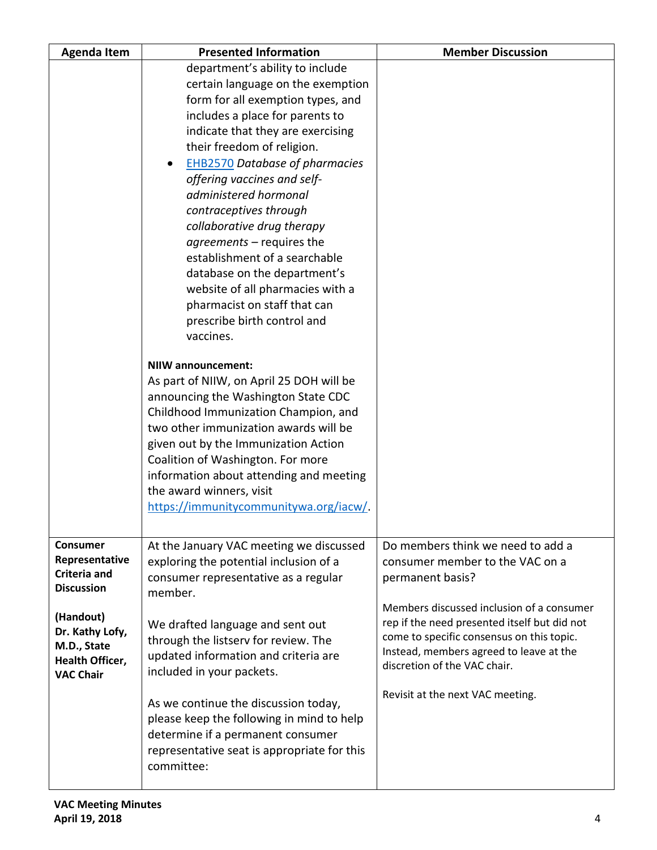| <b>Agenda Item</b>                       | <b>Presented Information</b>                                     | <b>Member Discussion</b>                                                                  |
|------------------------------------------|------------------------------------------------------------------|-------------------------------------------------------------------------------------------|
|                                          | department's ability to include                                  |                                                                                           |
|                                          | certain language on the exemption                                |                                                                                           |
|                                          | form for all exemption types, and                                |                                                                                           |
|                                          | includes a place for parents to                                  |                                                                                           |
|                                          | indicate that they are exercising                                |                                                                                           |
|                                          | their freedom of religion.                                       |                                                                                           |
|                                          | <b>EHB2570 Database of pharmacies</b>                            |                                                                                           |
|                                          | offering vaccines and self-                                      |                                                                                           |
|                                          | administered hormonal                                            |                                                                                           |
|                                          | contraceptives through                                           |                                                                                           |
|                                          | collaborative drug therapy                                       |                                                                                           |
|                                          | agreements - requires the                                        |                                                                                           |
|                                          | establishment of a searchable                                    |                                                                                           |
|                                          | database on the department's                                     |                                                                                           |
|                                          | website of all pharmacies with a<br>pharmacist on staff that can |                                                                                           |
|                                          | prescribe birth control and                                      |                                                                                           |
|                                          | vaccines.                                                        |                                                                                           |
|                                          |                                                                  |                                                                                           |
|                                          | <b>NIIW announcement:</b>                                        |                                                                                           |
|                                          | As part of NIIW, on April 25 DOH will be                         |                                                                                           |
|                                          | announcing the Washington State CDC                              |                                                                                           |
|                                          | Childhood Immunization Champion, and                             |                                                                                           |
|                                          | two other immunization awards will be                            |                                                                                           |
|                                          | given out by the Immunization Action                             |                                                                                           |
|                                          | Coalition of Washington. For more                                |                                                                                           |
|                                          | information about attending and meeting                          |                                                                                           |
|                                          | the award winners, visit                                         |                                                                                           |
|                                          | https://immunitycommunitywa.org/iacw/.                           |                                                                                           |
|                                          |                                                                  |                                                                                           |
| <b>Consumer</b>                          | At the January VAC meeting we discussed                          | Do members think we need to add a                                                         |
| Representative                           | exploring the potential inclusion of a                           | consumer member to the VAC on a                                                           |
| <b>Criteria and</b><br><b>Discussion</b> | consumer representative as a regular                             | permanent basis?                                                                          |
|                                          | member.                                                          |                                                                                           |
| (Handout)                                |                                                                  | Members discussed inclusion of a consumer                                                 |
| Dr. Kathy Lofy,                          | We drafted language and sent out                                 | rep if the need presented itself but did not<br>come to specific consensus on this topic. |
| M.D., State                              | through the listserv for review. The                             | Instead, members agreed to leave at the                                                   |
| Health Officer,                          | updated information and criteria are                             | discretion of the VAC chair.                                                              |
| <b>VAC Chair</b>                         | included in your packets.                                        |                                                                                           |
|                                          | As we continue the discussion today,                             | Revisit at the next VAC meeting.                                                          |
|                                          | please keep the following in mind to help                        |                                                                                           |
|                                          | determine if a permanent consumer                                |                                                                                           |
|                                          | representative seat is appropriate for this                      |                                                                                           |
|                                          | committee:                                                       |                                                                                           |
|                                          |                                                                  |                                                                                           |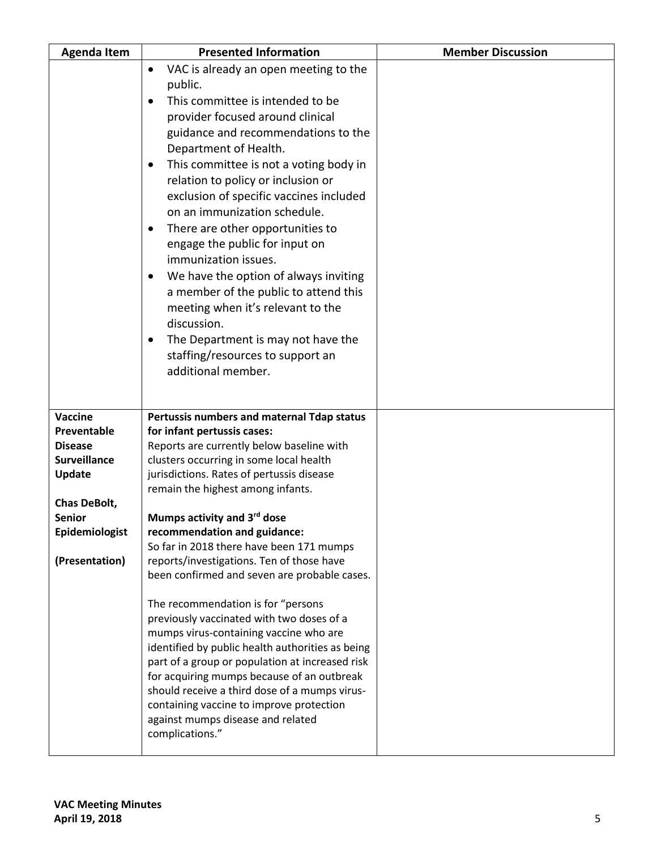| <b>Agenda Item</b>                    | <b>Presented Information</b>                                                                  | <b>Member Discussion</b> |
|---------------------------------------|-----------------------------------------------------------------------------------------------|--------------------------|
|                                       | VAC is already an open meeting to the<br>$\bullet$                                            |                          |
|                                       | public.                                                                                       |                          |
|                                       | This committee is intended to be<br>$\bullet$                                                 |                          |
|                                       | provider focused around clinical                                                              |                          |
|                                       | guidance and recommendations to the                                                           |                          |
|                                       | Department of Health.                                                                         |                          |
|                                       | This committee is not a voting body in<br>$\bullet$                                           |                          |
|                                       | relation to policy or inclusion or                                                            |                          |
|                                       | exclusion of specific vaccines included                                                       |                          |
|                                       | on an immunization schedule.                                                                  |                          |
|                                       | There are other opportunities to<br>$\bullet$                                                 |                          |
|                                       | engage the public for input on<br>immunization issues.                                        |                          |
|                                       | We have the option of always inviting<br>$\bullet$                                            |                          |
|                                       | a member of the public to attend this                                                         |                          |
|                                       | meeting when it's relevant to the                                                             |                          |
|                                       | discussion.                                                                                   |                          |
|                                       | The Department is may not have the<br>$\bullet$                                               |                          |
|                                       | staffing/resources to support an                                                              |                          |
|                                       | additional member.                                                                            |                          |
|                                       |                                                                                               |                          |
|                                       |                                                                                               |                          |
| Vaccine                               | Pertussis numbers and maternal Tdap status                                                    |                          |
| Preventable                           | for infant pertussis cases:                                                                   |                          |
| <b>Disease</b><br><b>Surveillance</b> | Reports are currently below baseline with<br>clusters occurring in some local health          |                          |
| Update                                | jurisdictions. Rates of pertussis disease                                                     |                          |
|                                       | remain the highest among infants.                                                             |                          |
| <b>Chas DeBolt,</b>                   |                                                                                               |                          |
| <b>Senior</b>                         | Mumps activity and 3rd dose                                                                   |                          |
| Epidemiologist                        | recommendation and guidance:                                                                  |                          |
|                                       | So far in 2018 there have been 171 mumps                                                      |                          |
| (Presentation)                        | reports/investigations. Ten of those have<br>been confirmed and seven are probable cases.     |                          |
|                                       |                                                                                               |                          |
|                                       | The recommendation is for "persons                                                            |                          |
|                                       | previously vaccinated with two doses of a                                                     |                          |
|                                       | mumps virus-containing vaccine who are                                                        |                          |
|                                       | identified by public health authorities as being                                              |                          |
|                                       | part of a group or population at increased risk<br>for acquiring mumps because of an outbreak |                          |
|                                       | should receive a third dose of a mumps virus-                                                 |                          |
|                                       | containing vaccine to improve protection                                                      |                          |
|                                       | against mumps disease and related                                                             |                          |
|                                       | complications."                                                                               |                          |
|                                       |                                                                                               |                          |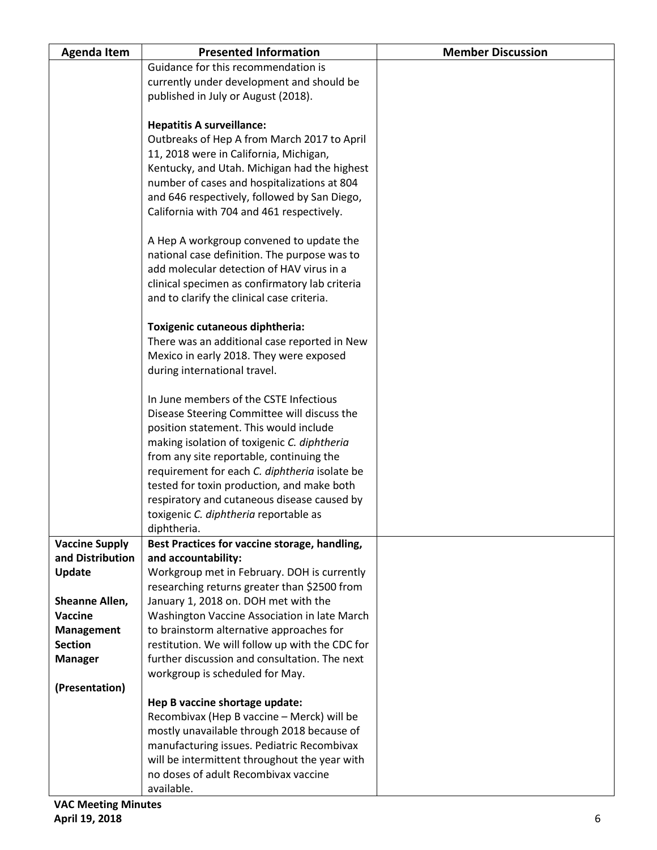| <b>Agenda Item</b>    | <b>Presented Information</b>                                                              | <b>Member Discussion</b> |
|-----------------------|-------------------------------------------------------------------------------------------|--------------------------|
|                       | Guidance for this recommendation is                                                       |                          |
|                       | currently under development and should be                                                 |                          |
|                       | published in July or August (2018).                                                       |                          |
|                       |                                                                                           |                          |
|                       | <b>Hepatitis A surveillance:</b>                                                          |                          |
|                       | Outbreaks of Hep A from March 2017 to April                                               |                          |
|                       | 11, 2018 were in California, Michigan,                                                    |                          |
|                       | Kentucky, and Utah. Michigan had the highest                                              |                          |
|                       | number of cases and hospitalizations at 804                                               |                          |
|                       | and 646 respectively, followed by San Diego,                                              |                          |
|                       | California with 704 and 461 respectively.                                                 |                          |
|                       |                                                                                           |                          |
|                       | A Hep A workgroup convened to update the                                                  |                          |
|                       | national case definition. The purpose was to<br>add molecular detection of HAV virus in a |                          |
|                       | clinical specimen as confirmatory lab criteria                                            |                          |
|                       |                                                                                           |                          |
|                       | and to clarify the clinical case criteria.                                                |                          |
|                       | Toxigenic cutaneous diphtheria:                                                           |                          |
|                       | There was an additional case reported in New                                              |                          |
|                       | Mexico in early 2018. They were exposed                                                   |                          |
|                       | during international travel.                                                              |                          |
|                       |                                                                                           |                          |
|                       | In June members of the CSTE Infectious                                                    |                          |
|                       | Disease Steering Committee will discuss the                                               |                          |
|                       | position statement. This would include                                                    |                          |
|                       | making isolation of toxigenic C. diphtheria                                               |                          |
|                       | from any site reportable, continuing the                                                  |                          |
|                       | requirement for each C. diphtheria isolate be                                             |                          |
|                       | tested for toxin production, and make both                                                |                          |
|                       | respiratory and cutaneous disease caused by                                               |                          |
|                       | toxigenic C. diphtheria reportable as                                                     |                          |
|                       | diphtheria.                                                                               |                          |
| <b>Vaccine Supply</b> | Best Practices for vaccine storage, handling,                                             |                          |
| and Distribution      | and accountability:                                                                       |                          |
| Update                | Workgroup met in February. DOH is currently                                               |                          |
|                       | researching returns greater than \$2500 from                                              |                          |
| Sheanne Allen,        | January 1, 2018 on. DOH met with the                                                      |                          |
| Vaccine               | Washington Vaccine Association in late March                                              |                          |
| Management            | to brainstorm alternative approaches for                                                  |                          |
| <b>Section</b>        | restitution. We will follow up with the CDC for                                           |                          |
| <b>Manager</b>        | further discussion and consultation. The next                                             |                          |
| (Presentation)        | workgroup is scheduled for May.                                                           |                          |
|                       | Hep B vaccine shortage update:                                                            |                          |
|                       | Recombivax (Hep B vaccine - Merck) will be                                                |                          |
|                       | mostly unavailable through 2018 because of                                                |                          |
|                       | manufacturing issues. Pediatric Recombivax                                                |                          |
|                       | will be intermittent throughout the year with                                             |                          |
|                       | no doses of adult Recombivax vaccine                                                      |                          |
|                       | available.                                                                                |                          |
|                       |                                                                                           |                          |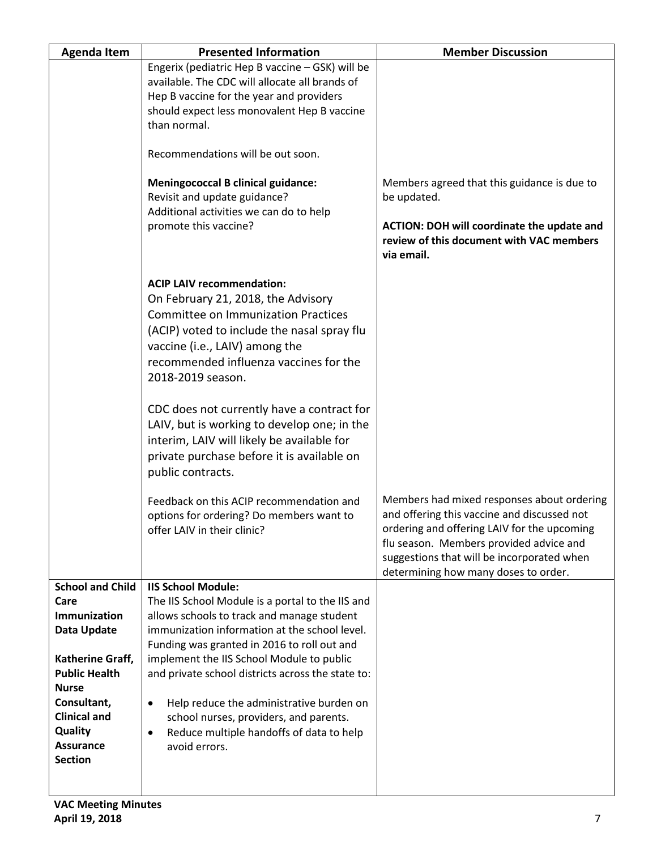| <b>Agenda Item</b>                                                                         | <b>Presented Information</b>                                                                                                                                                                                                                                                                                                                                                                                                                                                                                                                                               | <b>Member Discussion</b>                                                                                                                 |
|--------------------------------------------------------------------------------------------|----------------------------------------------------------------------------------------------------------------------------------------------------------------------------------------------------------------------------------------------------------------------------------------------------------------------------------------------------------------------------------------------------------------------------------------------------------------------------------------------------------------------------------------------------------------------------|------------------------------------------------------------------------------------------------------------------------------------------|
|                                                                                            | Engerix (pediatric Hep B vaccine - GSK) will be<br>available. The CDC will allocate all brands of<br>Hep B vaccine for the year and providers<br>should expect less monovalent Hep B vaccine<br>than normal.                                                                                                                                                                                                                                                                                                                                                               |                                                                                                                                          |
|                                                                                            | Recommendations will be out soon.                                                                                                                                                                                                                                                                                                                                                                                                                                                                                                                                          |                                                                                                                                          |
|                                                                                            | <b>Meningococcal B clinical guidance:</b><br>Revisit and update guidance?<br>Additional activities we can do to help                                                                                                                                                                                                                                                                                                                                                                                                                                                       | Members agreed that this guidance is due to<br>be updated.                                                                               |
|                                                                                            | promote this vaccine?                                                                                                                                                                                                                                                                                                                                                                                                                                                                                                                                                      | ACTION: DOH will coordinate the update and<br>review of this document with VAC members<br>via email.                                     |
|                                                                                            | <b>ACIP LAIV recommendation:</b><br>On February 21, 2018, the Advisory<br><b>Committee on Immunization Practices</b><br>(ACIP) voted to include the nasal spray flu<br>vaccine (i.e., LAIV) among the<br>recommended influenza vaccines for the<br>2018-2019 season.<br>CDC does not currently have a contract for<br>LAIV, but is working to develop one; in the<br>interim, LAIV will likely be available for<br>private purchase before it is available on<br>public contracts.<br>Feedback on this ACIP recommendation and<br>options for ordering? Do members want to | Members had mixed responses about ordering<br>and offering this vaccine and discussed not<br>ordering and offering LAIV for the upcoming |
|                                                                                            | offer LAIV in their clinic?                                                                                                                                                                                                                                                                                                                                                                                                                                                                                                                                                | flu season. Members provided advice and<br>suggestions that will be incorporated when<br>determining how many doses to order.            |
| <b>School and Child</b><br>Care<br>Immunization<br>Data Update                             | <b>IIS School Module:</b><br>The IIS School Module is a portal to the IIS and<br>allows schools to track and manage student<br>immunization information at the school level.                                                                                                                                                                                                                                                                                                                                                                                               |                                                                                                                                          |
| Katherine Graff,<br><b>Public Health</b><br><b>Nurse</b>                                   | Funding was granted in 2016 to roll out and<br>implement the IIS School Module to public<br>and private school districts across the state to:                                                                                                                                                                                                                                                                                                                                                                                                                              |                                                                                                                                          |
| Consultant,<br><b>Clinical and</b><br><b>Quality</b><br><b>Assurance</b><br><b>Section</b> | Help reduce the administrative burden on<br>$\bullet$<br>school nurses, providers, and parents.<br>Reduce multiple handoffs of data to help<br>$\bullet$<br>avoid errors.                                                                                                                                                                                                                                                                                                                                                                                                  |                                                                                                                                          |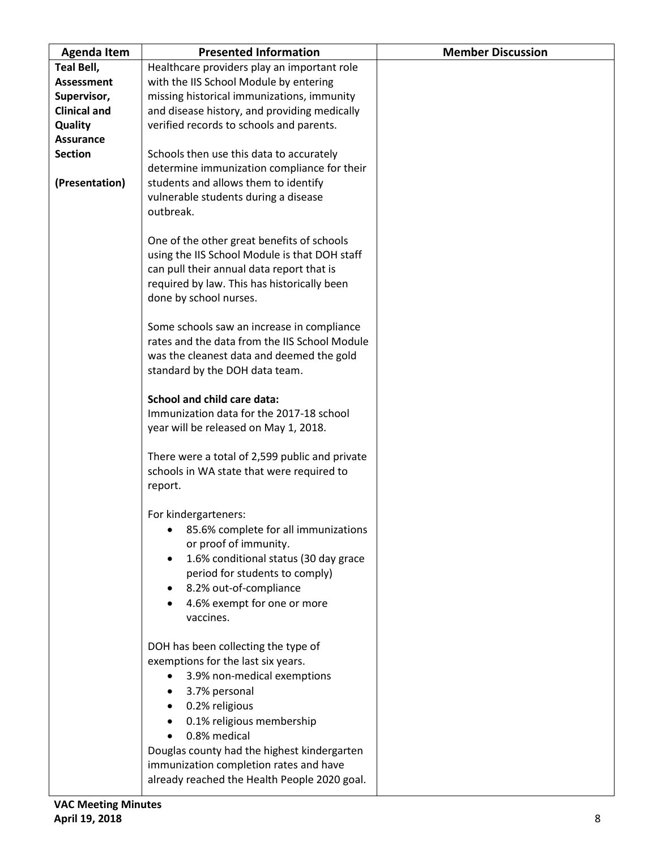| <b>Agenda Item</b>  | <b>Presented Information</b>                   | <b>Member Discussion</b> |
|---------------------|------------------------------------------------|--------------------------|
| Teal Bell,          | Healthcare providers play an important role    |                          |
| <b>Assessment</b>   | with the IIS School Module by entering         |                          |
| Supervisor,         | missing historical immunizations, immunity     |                          |
| <b>Clinical and</b> | and disease history, and providing medically   |                          |
| <b>Quality</b>      | verified records to schools and parents.       |                          |
| <b>Assurance</b>    |                                                |                          |
| <b>Section</b>      | Schools then use this data to accurately       |                          |
|                     | determine immunization compliance for their    |                          |
| (Presentation)      | students and allows them to identify           |                          |
|                     | vulnerable students during a disease           |                          |
|                     | outbreak.                                      |                          |
|                     |                                                |                          |
|                     | One of the other great benefits of schools     |                          |
|                     | using the IIS School Module is that DOH staff  |                          |
|                     | can pull their annual data report that is      |                          |
|                     | required by law. This has historically been    |                          |
|                     | done by school nurses.                         |                          |
|                     |                                                |                          |
|                     | Some schools saw an increase in compliance     |                          |
|                     | rates and the data from the IIS School Module  |                          |
|                     | was the cleanest data and deemed the gold      |                          |
|                     | standard by the DOH data team.                 |                          |
|                     |                                                |                          |
|                     | School and child care data:                    |                          |
|                     | Immunization data for the 2017-18 school       |                          |
|                     | year will be released on May 1, 2018.          |                          |
|                     |                                                |                          |
|                     | There were a total of 2,599 public and private |                          |
|                     | schools in WA state that were required to      |                          |
|                     | report.                                        |                          |
|                     |                                                |                          |
|                     | For kindergarteners:                           |                          |
|                     | 85.6% complete for all immunizations           |                          |
|                     | or proof of immunity.                          |                          |
|                     | 1.6% conditional status (30 day grace          |                          |
|                     | period for students to comply)                 |                          |
|                     | 8.2% out-of-compliance                         |                          |
|                     | 4.6% exempt for one or more                    |                          |
|                     | vaccines.                                      |                          |
|                     |                                                |                          |
|                     | DOH has been collecting the type of            |                          |
|                     | exemptions for the last six years.             |                          |
|                     | 3.9% non-medical exemptions                    |                          |
|                     | 3.7% personal                                  |                          |
|                     | 0.2% religious                                 |                          |
|                     | 0.1% religious membership                      |                          |
|                     | 0.8% medical                                   |                          |
|                     | Douglas county had the highest kindergarten    |                          |
|                     | immunization completion rates and have         |                          |
|                     | already reached the Health People 2020 goal.   |                          |
|                     |                                                |                          |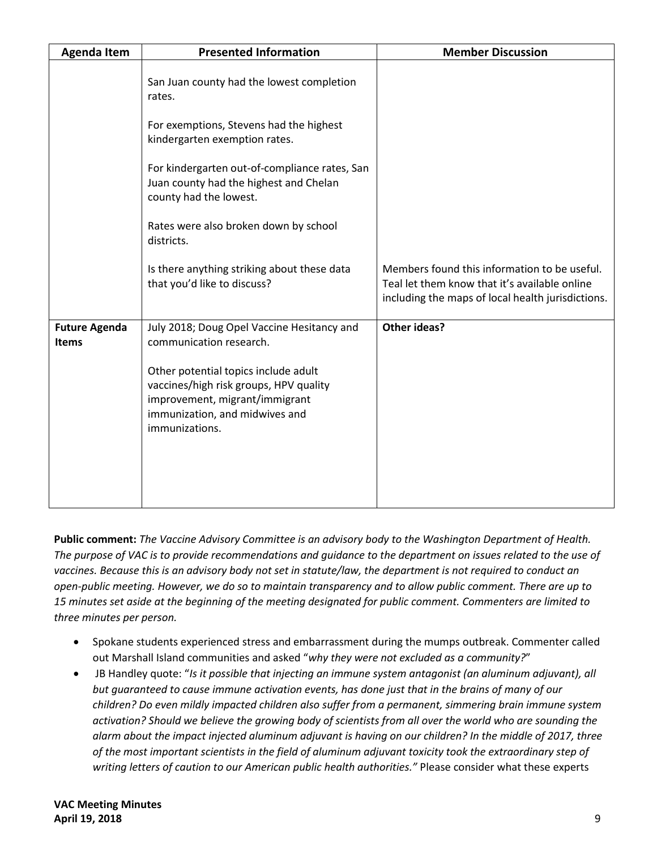| <b>Agenda Item</b>                   | <b>Presented Information</b>                                                                                                                                         | <b>Member Discussion</b>                                                                                                                           |
|--------------------------------------|----------------------------------------------------------------------------------------------------------------------------------------------------------------------|----------------------------------------------------------------------------------------------------------------------------------------------------|
|                                      | San Juan county had the lowest completion<br>rates.                                                                                                                  |                                                                                                                                                    |
|                                      | For exemptions, Stevens had the highest<br>kindergarten exemption rates.                                                                                             |                                                                                                                                                    |
|                                      | For kindergarten out-of-compliance rates, San<br>Juan county had the highest and Chelan<br>county had the lowest.                                                    |                                                                                                                                                    |
|                                      | Rates were also broken down by school<br>districts.                                                                                                                  |                                                                                                                                                    |
|                                      | Is there anything striking about these data<br>that you'd like to discuss?                                                                                           | Members found this information to be useful.<br>Teal let them know that it's available online<br>including the maps of local health jurisdictions. |
| <b>Future Agenda</b><br><b>Items</b> | July 2018; Doug Opel Vaccine Hesitancy and<br>communication research.                                                                                                | <b>Other ideas?</b>                                                                                                                                |
|                                      | Other potential topics include adult<br>vaccines/high risk groups, HPV quality<br>improvement, migrant/immigrant<br>immunization, and midwives and<br>immunizations. |                                                                                                                                                    |

**Public comment:** *The Vaccine Advisory Committee is an advisory body to the Washington Department of Health. The purpose of VAC is to provide recommendations and guidance to the department on issues related to the use of vaccines. Because this is an advisory body not set in statute/law, the department is not required to conduct an open-public meeting. However, we do so to maintain transparency and to allow public comment. There are up to 15 minutes set aside at the beginning of the meeting designated for public comment. Commenters are limited to three minutes per person.*

- Spokane students experienced stress and embarrassment during the mumps outbreak. Commenter called out Marshall Island communities and asked "*why they were not excluded as a community?*"
- JB Handley quote: "*Is it possible that injecting an immune system antagonist (an aluminum adjuvant), all but guaranteed to cause immune activation events, has done just that in the brains of many of our children? Do even mildly impacted children also suffer from a permanent, simmering brain immune system activation? Should we believe the growing body of scientists from all over the world who are sounding the alarm about the impact injected aluminum adjuvant is having on our children? In the middle of 2017, three of the most important scientists in the field of aluminum adjuvant toxicity took the extraordinary step of writing letters of caution to our American public health authorities."* Please consider what these experts